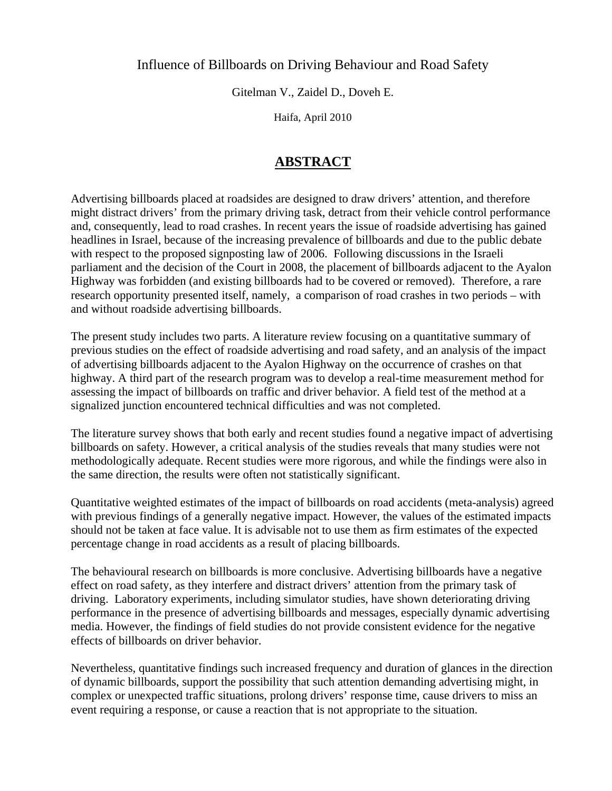## Influence of Billboards on Driving Behaviour and Road Safety

Gitelman V., Zaidel D., Doveh E.

Haifa, April 2010

# **ABSTRACT**

Advertising billboards placed at roadsides are designed to draw drivers' attention, and therefore might distract drivers' from the primary driving task, detract from their vehicle control performance and, consequently, lead to road crashes. In recent years the issue of roadside advertising has gained headlines in Israel, because of the increasing prevalence of billboards and due to the public debate with respect to the proposed signposting law of 2006. Following discussions in the Israeli parliament and the decision of the Court in 2008, the placement of billboards adjacent to the Ayalon Highway was forbidden (and existing billboards had to be covered or removed). Therefore, a rare research opportunity presented itself, namely, a comparison of road crashes in two periods – with and without roadside advertising billboards.

The present study includes two parts. A literature review focusing on a quantitative summary of previous studies on the effect of roadside advertising and road safety, and an analysis of the impact of advertising billboards adjacent to the Ayalon Highway on the occurrence of crashes on that highway. A third part of the research program was to develop a real-time measurement method for assessing the impact of billboards on traffic and driver behavior. A field test of the method at a signalized junction encountered technical difficulties and was not completed.

The literature survey shows that both early and recent studies found a negative impact of advertising billboards on safety. However, a critical analysis of the studies reveals that many studies were not methodologically adequate. Recent studies were more rigorous, and while the findings were also in the same direction, the results were often not statistically significant.

Quantitative weighted estimates of the impact of billboards on road accidents (meta-analysis) agreed with previous findings of a generally negative impact. However, the values of the estimated impacts should not be taken at face value. It is advisable not to use them as firm estimates of the expected percentage change in road accidents as a result of placing billboards.

The behavioural research on billboards is more conclusive. Advertising billboards have a negative effect on road safety, as they interfere and distract drivers' attention from the primary task of driving. Laboratory experiments, including simulator studies, have shown deteriorating driving performance in the presence of advertising billboards and messages, especially dynamic advertising media. However, the findings of field studies do not provide consistent evidence for the negative effects of billboards on driver behavior.

Nevertheless, quantitative findings such increased frequency and duration of glances in the direction of dynamic billboards, support the possibility that such attention demanding advertising might, in complex or unexpected traffic situations, prolong drivers' response time, cause drivers to miss an event requiring a response, or cause a reaction that is not appropriate to the situation.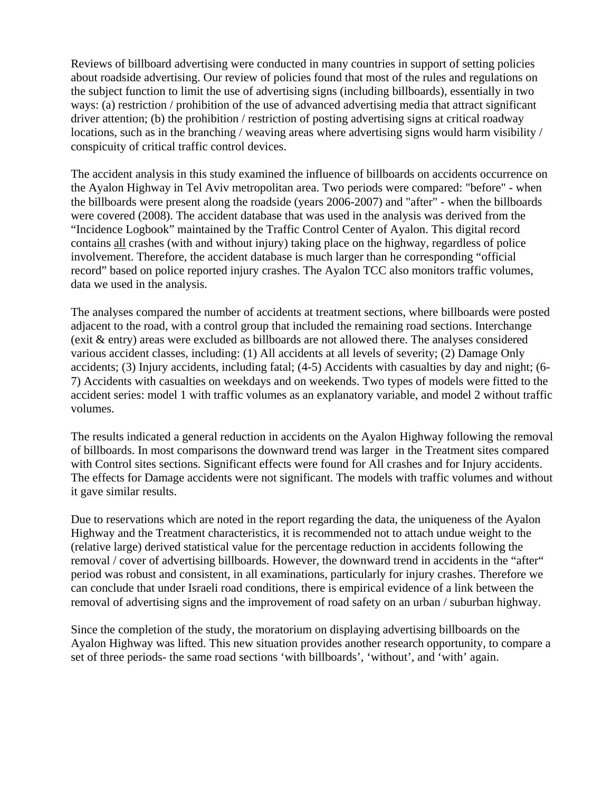Reviews of billboard advertising were conducted in many countries in support of setting policies about roadside advertising. Our review of policies found that most of the rules and regulations on the subject function to limit the use of advertising signs (including billboards), essentially in two ways: (a) restriction / prohibition of the use of advanced advertising media that attract significant driver attention; (b) the prohibition / restriction of posting advertising signs at critical roadway locations, such as in the branching / weaving areas where advertising signs would harm visibility / conspicuity of critical traffic control devices.

The accident analysis in this study examined the influence of billboards on accidents occurrence on the Ayalon Highway in Tel Aviv metropolitan area. Two periods were compared: "before" - when the billboards were present along the roadside (years 2006-2007) and "after" - when the billboards were covered (2008). The accident database that was used in the analysis was derived from the "Incidence Logbook" maintained by the Traffic Control Center of Ayalon. This digital record contains all crashes (with and without injury) taking place on the highway, regardless of police involvement. Therefore, the accident database is much larger than he corresponding "official record" based on police reported injury crashes. The Ayalon TCC also monitors traffic volumes, data we used in the analysis.

The analyses compared the number of accidents at treatment sections, where billboards were posted adjacent to the road, with a control group that included the remaining road sections. Interchange (exit & entry) areas were excluded as billboards are not allowed there. The analyses considered various accident classes, including: (1) All accidents at all levels of severity; (2) Damage Only accidents; (3) Injury accidents, including fatal; (4-5) Accidents with casualties by day and night; (6- 7) Accidents with casualties on weekdays and on weekends. Two types of models were fitted to the accident series: model 1 with traffic volumes as an explanatory variable, and model 2 without traffic volumes.

The results indicated a general reduction in accidents on the Ayalon Highway following the removal of billboards. In most comparisons the downward trend was larger in the Treatment sites compared with Control sites sections. Significant effects were found for All crashes and for Injury accidents. The effects for Damage accidents were not significant. The models with traffic volumes and without it gave similar results.

Due to reservations which are noted in the report regarding the data, the uniqueness of the Ayalon Highway and the Treatment characteristics, it is recommended not to attach undue weight to the (relative large) derived statistical value for the percentage reduction in accidents following the removal / cover of advertising billboards. However, the downward trend in accidents in the "after" period was robust and consistent, in all examinations, particularly for injury crashes. Therefore we can conclude that under Israeli road conditions, there is empirical evidence of a link between the removal of advertising signs and the improvement of road safety on an urban / suburban highway.

Since the completion of the study, the moratorium on displaying advertising billboards on the Ayalon Highway was lifted. This new situation provides another research opportunity, to compare a set of three periods- the same road sections 'with billboards', 'without', and 'with' again.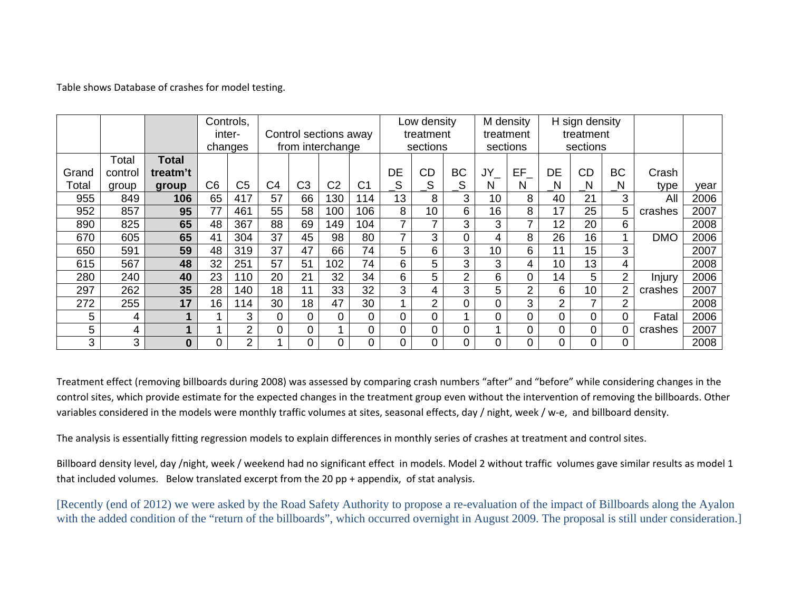Table shows Database of crashes for model testing.

|       |         |              |                | Controls,      |                |                       |                |                |                          | Low density     |                |          | M density      |                | H sign density  |                |            |      |
|-------|---------|--------------|----------------|----------------|----------------|-----------------------|----------------|----------------|--------------------------|-----------------|----------------|----------|----------------|----------------|-----------------|----------------|------------|------|
|       |         |              |                | inter-         |                | Control sections away |                |                |                          | treatment       |                |          | treatment      |                | treatment       |                |            |      |
|       |         |              |                | changes        |                | from interchange      |                |                |                          | sections        |                | sections |                |                | sections        |                |            |      |
|       | Total   | <b>Total</b> |                |                |                |                       |                |                |                          |                 |                |          |                |                |                 |                |            |      |
| Grand | control | treatm't     |                |                |                |                       |                |                | DE                       | <b>CD</b>       | ВC             | $JY_{-}$ | EF             | DE             | <b>CD</b>       | BC             | Crash      |      |
| Total | group   | group        | C <sub>6</sub> | C <sub>5</sub> | C <sub>4</sub> | C <sub>3</sub>        | C <sub>2</sub> | C <sub>1</sub> | $\_S$                    | S               | S              | N        | N              | N              | N               | N              | type       | year |
| 955   | 849     | 106          | 65             | 417            | 57             | 66                    | 130            | 114            | 13                       | 8               | 3              | 10       | 8              | 40             | 21              | 3              | All        | 2006 |
| 952   | 857     | 95           | 77             | 461            | 55             | 58                    | 100            | 106            | 8                        | 10 <sup>°</sup> | 6              | 16       | 8              | 17             | 25              | 5              | crashes    | 2007 |
| 890   | 825     | 65           | 48             | 367            | 88             | 69                    | 149            | 104            | 7                        | 7               | 3              | 3        | 7              | 12             | 20              | 6.             |            | 2008 |
| 670   | 605     | 65           | 41             | 304            | 37             | 45                    | 98             | 80             | $\overline{\phantom{a}}$ | 3               | 0              | 4        | 8              | 26             | 16              |                | <b>DMO</b> | 2006 |
| 650   | 591     | 59           | 48             | 319            | 37             | 47                    | 66             | 74             | 5                        | 6               | 3              | 10       | 6              | 11             | 15              | 3              |            | 2007 |
| 615   | 567     | 48           | 32             | 251            | 57             | 51                    | 102            | 74             | 6                        | 5               | 3              | 3        | 4              | 10             | 13              | $\overline{4}$ |            | 2008 |
| 280   | 240     | 40           | 23             | 110            | 20             | 21                    | 32             | 34             | 6                        | 5               | $\overline{2}$ | 6        | 0              | 14             | 5               | 2              | Injury     | 2006 |
| 297   | 262     | 35           | 28             | 140            | 18             | 11                    | 33             | 32             | 3                        | 4               | 3              | 5        | $\overline{2}$ | 6              | 10 <sup>°</sup> | $\overline{2}$ | crashes    | 2007 |
| 272   | 255     | 17           | 16             | 14             | 30             | 18                    | 47             | 30             |                          | $\overline{2}$  | 0              | 0        | 3              | $\overline{2}$ | 7               | $\overline{2}$ |            | 2008 |
| 5     | 4       |              |                | 3              | $\Omega$       | 0                     | $\Omega$       | $\Omega$       | 0                        | $\mathbf 0$     |                | 0        | 0              | $\Omega$       | $\Omega$        | 0              | Fatal      | 2006 |
| 5     | 4       |              |                | ົ              | 0              | 0                     |                | 0              |                          | 0               | 0              |          | 0              | $\Omega$       | $\Omega$        | 0              | crashes    | 2007 |
| 3     | 3       | 0            | 0              | $\overline{2}$ |                | 0                     | 0              | 0              | 0                        | 0               | 0              | 0        | 0              | $\Omega$       | 0               |                |            | 2008 |

Treatment effect (removing billboards during 2008) was assessed by comparing crash numbers "after" and "before" while considering changes in the control sites, which provide estimate for the expected changes in the treatment group even without the intervention of removing the billboards. Other variables considered in the models were monthly traffic volumes at sites, seasonal effects, day / night, week / <sup>w</sup>‐e, and billboard density.

The analysis is essentially fitting regression models to explain differences in monthly series of crashes at treatment and control sites.

Billboard density level, day /night, week / weekend had no significant effect in models. Model 2 without traffic volumes gave similar results as model 1 that included volumes. Below translated excerpt from the 20 pp <sup>+</sup> appendix, of stat analysis.

[Recently (end of 2012) we were asked by the Road Safety Authority to propose a re-evaluation of the impact of Billboards along the Ayalon with the added condition of the "return of the billboards", which occurred overnight in August 2009. The proposal is still under consideration.]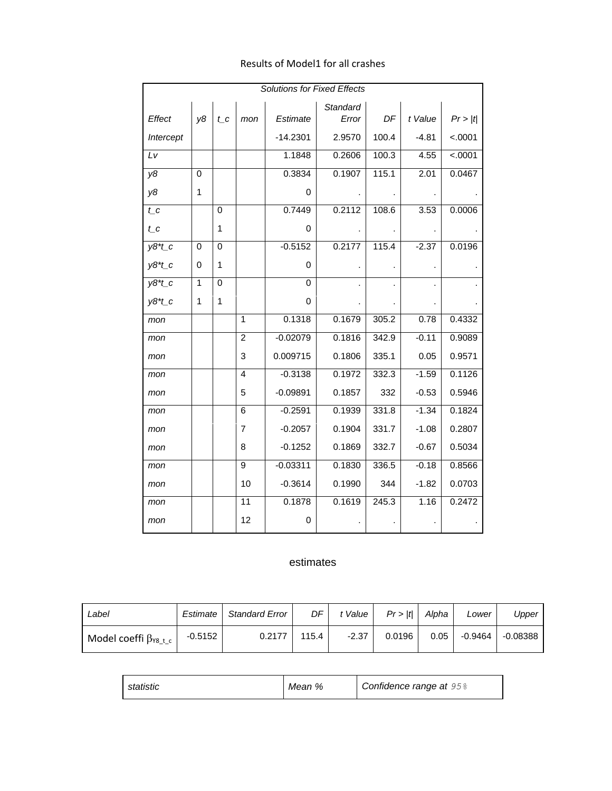| <b>Solutions for Fixed Effects</b> |    |              |                |            |                   |       |         |         |
|------------------------------------|----|--------------|----------------|------------|-------------------|-------|---------|---------|
| Effect                             | y8 | $t_{C}$      | mon            | Estimate   | Standard<br>Error | DF    | t Value | Pr >  t |
| Intercept                          |    |              |                | $-14.2301$ | 2.9570            | 100.4 | $-4.81$ | < .0001 |
| Lv                                 |    |              |                | 1.1848     | 0.2606            | 100.3 | 4.55    | < .0001 |
| y8                                 | 0  |              |                | 0.3834     | 0.1907            | 115.1 | 2.01    | 0.0467  |
| y8                                 | 1  |              |                | 0          |                   |       |         |         |
| $t_{C}$                            |    | 0            |                | 0.7449     | 0.2112            | 108.6 | 3.53    | 0.0006  |
| $t_{C}$                            |    | 1            |                | 0          |                   |       |         |         |
| $y8*t_c$                           | 0  | $\Omega$     |                | $-0.5152$  | 0.2177            | 115.4 | $-2.37$ | 0.0196  |
| $y8*t$ <sub>c</sub>                | 0  | $\mathbf{1}$ |                | 0          |                   |       |         |         |
| $y8*t$ <sub>c</sub>                | 1  | $\Omega$     |                | 0          |                   |       |         |         |
| $y8*t$ <sub>c</sub>                | 1  | 1            |                | 0          |                   |       |         |         |
| mon                                |    |              | 1              | 0.1318     | 0.1679            | 305.2 | 0.78    | 0.4332  |
| mon                                |    |              | $\overline{c}$ | $-0.02079$ | 0.1816            | 342.9 | $-0.11$ | 0.9089  |
| mon                                |    |              | 3              | 0.009715   | 0.1806            | 335.1 | 0.05    | 0.9571  |
| mon                                |    |              | 4              | $-0.3138$  | 0.1972            | 332.3 | $-1.59$ | 0.1126  |
| mon                                |    |              | 5              | $-0.09891$ | 0.1857            | 332   | $-0.53$ | 0.5946  |
| mon                                |    |              | 6              | $-0.2591$  | 0.1939            | 331.8 | $-1.34$ | 0.1824  |
| mon                                |    |              | 7              | $-0.2057$  | 0.1904            | 331.7 | $-1.08$ | 0.2807  |
| mon                                |    |              | 8              | $-0.1252$  | 0.1869            | 332.7 | $-0.67$ | 0.5034  |
| mon                                |    |              | 9              | $-0.03311$ | 0.1830            | 336.5 | $-0.18$ | 0.8566  |
| mon                                |    |              | 10             | $-0.3614$  | 0.1990            | 344   | $-1.82$ | 0.0703  |
| mon                                |    |              | 11             | 0.1878     | 0.1619            | 245.3 | 1.16    | 0.2472  |
| mon                                |    |              | 12             | 0          |                   |       |         |         |

#### Results of Model1 for all crashes

#### estimates

| Label                           | Estimate  | <b>Standard Error</b> | DF    | <sup>+</sup> Value | Pr >  t | Alpha | Lower   | Upper      |
|---------------------------------|-----------|-----------------------|-------|--------------------|---------|-------|---------|------------|
| Model coeffi $\beta_{Y8\_t\_c}$ | $-0.5152$ | 0.2177                | 115.4 | $-2.37$            | 0.0196  | 0.05  | -0.9464 | $-0.08388$ |

| statistic | Mean % | Confidence range at 95% |
|-----------|--------|-------------------------|
|-----------|--------|-------------------------|